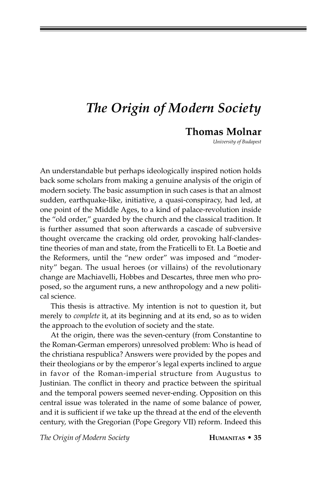## *The Origin of Modern Society*

## **Thomas Molnar**

*University of Budapest*

An understandable but perhaps ideologically inspired notion holds back some scholars from making a genuine analysis of the origin of modern society. The basic assumption in such cases is that an almost sudden, earthquake-like, initiative, a quasi-conspiracy, had led, at one point of the Middle Ages, to a kind of palace-revolution inside the "old order," guarded by the church and the classical tradition. It is further assumed that soon afterwards a cascade of subversive thought overcame the cracking old order, provoking half-clandestine theories of man and state, from the Fraticelli to Et. La Boetie and the Reformers, until the "new order" was imposed and "modernity" began. The usual heroes (or villains) of the revolutionary change are Machiavelli, Hobbes and Descartes, three men who proposed, so the argument runs, a new anthropology and a new political science.

This thesis is attractive. My intention is not to question it, but merely to *complete* it, at its beginning and at its end, so as to widen the approach to the evolution of society and the state.

At the origin, there was the seven-century (from Constantine to the Roman-German emperors) unresolved problem: Who is head of the christiana respublica? Answers were provided by the popes and their theologians or by the emperor's legal experts inclined to argue in favor of the Roman-imperial structure from Augustus to Justinian. The conflict in theory and practice between the spiritual and the temporal powers seemed never-ending. Opposition on this central issue was tolerated in the name of some balance of power, and it is sufficient if we take up the thread at the end of the eleventh century, with the Gregorian (Pope Gregory VII) reform. Indeed this

*The Origin of Modern Society* **HUMANITAS • 35**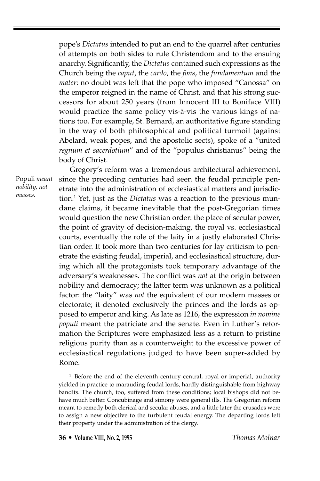pope's *Dictatus* intended to put an end to the quarrel after centuries of attempts on both sides to rule Christendom and to the ensuing anarchy. Significantly, the *Dictatus* contained such expressions as the Church being the *caput*, the *cardo*, the *fons*, the *fundamentum* and the *mater*: no doubt was left that the pope who imposed "Canossa" on the emperor reigned in the name of Christ, and that his strong successors for about 250 years (from Innocent III to Boniface VIII) would practice the same policy vis-à-vis the various kings of nations too. For example, St. Bernard, an authoritative figure standing in the way of both philosophical and political turmoil (against Abelard, weak popes, and the apostolic sects), spoke of a "united *regnum et sacerdotium*" and of the "populus christianus" being the body of Christ.

Populi *meant nobility, not masses.*

Gregory's reform was a tremendous architectural achievement, since the preceding centuries had seen the feudal principle penetrate into the administration of ecclesiastical matters and jurisdiction.1 Yet, just as the *Dictatus* was a reaction to the previous mundane claims, it became inevitable that the post-Gregorian times would question the new Christian order: the place of secular power, the point of gravity of decision-making, the royal vs. ecclesiastical courts, eventually the role of the laity in a justly elaborated Christian order. It took more than two centuries for lay criticism to penetrate the existing feudal, imperial, and ecclesiastical structure, during which all the protagonists took temporary advantage of the adversary's weaknesses. The conflict was *not* at the origin between nobility and democracy; the latter term was unknown as a political factor: the "laity" was *not* the equivalent of our modern masses or electorate; it denoted exclusively the princes and the lords as opposed to emperor and king. As late as 1216, the expression *in nomine populi* meant the patriciate and the senate. Even in Luther's reformation the Scriptures were emphasized less as a return to pristine religious purity than as a counterweight to the excessive power of ecclesiastical regulations judged to have been super-added by Rome.

 $1$  Before the end of the eleventh century central, royal or imperial, authority yielded in practice to marauding feudal lords, hardly distinguishable from highway bandits. The church, too, suffered from these conditions; local bishops did not behave much better. Concubinage and simony were general ills. The Gregorian reform meant to remedy both clerical and secular abuses, and a little later the crusades were to assign a new objective to the turbulent feudal energy. The departing lords left their property under the administration of the clergy.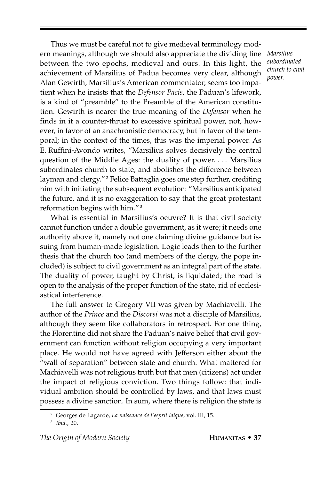Thus we must be careful not to give medieval terminology modern meanings, although we should also appreciate the dividing line between the two epochs, medieval and ours. In this light, the achievement of Marsilius of Padua becomes very clear, although Alan Gewirth, Marsilius's American commentator, seems too impatient when he insists that the *Defensor Pacis*, the Paduan's lifework, is a kind of "preamble" to the Preamble of the American constitution. Gewirth is nearer the true meaning of the *Defensor* when he finds in it a counter-thrust to excessive spiritual power, not, however, in favor of an anachronistic democracy, but in favor of the temporal; in the context of the times, this was the imperial power. As E. Ruffini-Avondo writes, "Marsilius solves decisively the central question of the Middle Ages: the duality of power. . . . Marsilius subordinates church to state, and abolishes the difference between layman and clergy."<sup>2</sup> Felice Battaglia goes one step further, crediting him with initiating the subsequent evolution: "Marsilius anticipated the future, and it is no exaggeration to say that the great protestant reformation begins with him." 3

What is essential in Marsilius's oeuvre? It is that civil society cannot function under a double government, as it were; it needs one authority above it, namely not one claiming divine guidance but issuing from human-made legislation. Logic leads then to the further thesis that the church too (and members of the clergy, the pope included) is subject to civil government as an integral part of the state. The duality of power, taught by Christ, is liquidated; the road is open to the analysis of the proper function of the state, rid of ecclesiastical interference.

The full answer to Gregory VII was given by Machiavelli. The author of the *Prince* and the *Discorsi* was not a disciple of Marsilius, although they seem like collaborators in retrospect. For one thing, the Florentine did not share the Paduan's naive belief that civil government can function without religion occupying a very important place. He would not have agreed with Jefferson either about the "wall of separation" between state and church. What mattered for Machiavelli was not religious truth but that men (citizens) act under the impact of religious conviction. Two things follow: that individual ambition should be controlled by laws, and that laws must possess a divine sanction. In sum, where there is religion the state is

*Marsilius subordinated church to civil power.*

<sup>2</sup> Georges de Lagarde, *La naissance de l'esprit laique*, vol. III, 15.

<sup>3</sup> *Ibid.*, 20.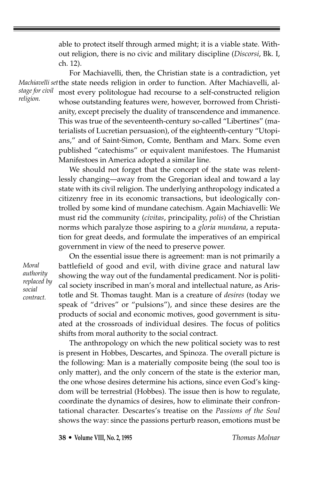able to protect itself through armed might; it is a viable state. Without religion, there is no civic and military discipline (*Discorsi*, Bk. I, ch. 12).

*stage for civil religion.*

For Machiavelli, then, the Christian state is a contradiction, yet *Machiavelli set* the state needs religion in order to function. After Machiavelli, almost every politologue had recourse to a self-constructed religion whose outstanding features were, however, borrowed from Christianity, except precisely the duality of transcendence and immanence. This was true of the seventeenth-century so-called "Libertines" (materialists of Lucretian persuasion), of the eighteenth-century "Utopians," and of Saint-Simon, Comte, Bentham and Marx. Some even published "catechisms" or equivalent manifestoes. The Humanist Manifestoes in America adopted a similar line.

> We should not forget that the concept of the state was relentlessly changing—away from the Gregorian ideal and toward a lay state with its civil religion. The underlying anthropology indicated a citizenry free in its economic transactions, but ideologically controlled by some kind of mundane catechism. Again Machiavelli: We must rid the community (*civitas*, principality, *polis*) of the Christian norms which paralyze those aspiring to a *gloria mundana*, a reputation for great deeds, and formulate the imperatives of an empirical government in view of the need to preserve power.

*Moral authority replaced by social contract.*

On the essential issue there is agreement: man is not primarily a battlefield of good and evil, with divine grace and natural law showing the way out of the fundamental predicament. Nor is political society inscribed in man's moral and intellectual nature, as Aristotle and St. Thomas taught. Man is a creature of *desires* (today we speak of "drives" or "pulsions"), and since these desires are the products of social and economic motives, good government is situated at the crossroads of individual desires. The focus of politics shifts from moral authority to the social contract.

The anthropology on which the new political society was to rest is present in Hobbes, Descartes, and Spinoza. The overall picture is the following: Man is a materially composite being (the soul too is only matter), and the only concern of the state is the exterior man, the one whose desires determine his actions, since even God's kingdom will be terrestrial (Hobbes). The issue then is how to regulate, coordinate the dynamics of desires, how to eliminate their confrontational character. Descartes's treatise on the *Passions of the Soul* shows the way: since the passions perturb reason, emotions must be

**38 • Volume VIII, No. 2, 1995** *Thomas Molnar*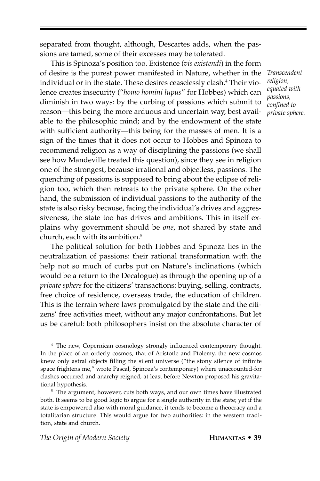separated from thought, although, Descartes adds, when the passions are tamed, some of their excesses may be tolerated.

This is Spinoza's position too. Existence (*vis existendi*) in the form of desire is the purest power manifested in Nature, whether in the individual or in the state. These desires ceaselessly clash.<sup>4</sup> Their violence creates insecurity ("*homo homini lupus*" for Hobbes) which can diminish in two ways: by the curbing of passions which submit to reason—this being the more arduous and uncertain way, best available to the philosophic mind; and by the endowment of the state with sufficient authority—this being for the masses of men. It is a sign of the times that it does not occur to Hobbes and Spinoza to recommend religion as a way of disciplining the passions (we shall see how Mandeville treated this question), since they see in religion one of the strongest, because irrational and objectless, passions. The quenching of passions is supposed to bring about the eclipse of religion too, which then retreats to the private sphere. On the other hand, the submission of individual passions to the authority of the state is also risky because, facing the individual's drives and aggressiveness, the state too has drives and ambitions. This in itself explains why government should be *one*, not shared by state and church, each with its ambition.5

The political solution for both Hobbes and Spinoza lies in the neutralization of passions: their rational transformation with the help not so much of curbs put on Nature's inclinations (which would be a return to the Decalogue) as through the opening up of a *private sphere* for the citizens' transactions: buying, selling, contracts, free choice of residence, overseas trade, the education of children. This is the terrain where laws promulgated by the state and the citizens' free activities meet, without any major confrontations. But let us be careful: both philosophers insist on the absolute character of

*Transcendent religion, equated with passions, confined to private sphere.*

<sup>&</sup>lt;sup>4</sup> The new, Copernican cosmology strongly influenced contemporary thought. In the place of an orderly cosmos, that of Aristotle and Ptolemy, the new cosmos knew only astral objects filling the silent universe ("the stony silence of infinite space frightens me," wrote Pascal, Spinoza's contemporary) where unaccounted-for clashes occurred and anarchy reigned, at least before Newton proposed his gravitational hypothesis.

<sup>&</sup>lt;sup>5</sup> The argument, however, cuts both ways, and our own times have illustrated both. It seems to be good logic to argue for a single authority in the state; yet if the state is empowered also with moral guidance, it tends to become a theocracy and a totalitarian structure. This would argue for two authorities: in the western tradition, state and church.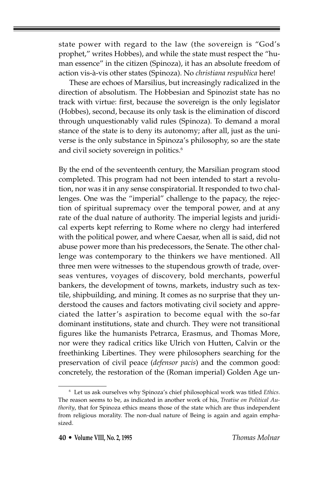state power with regard to the law (the sovereign is "God's prophet," writes Hobbes), and while the state must respect the "human essence" in the citizen (Spinoza), it has an absolute freedom of action vis-à-vis other states (Spinoza). No *christiana respublica* here!

These are echoes of Marsilius, but increasingly radicalized in the direction of absolutism. The Hobbesian and Spinozist state has no track with virtue: first, because the sovereign is the only legislator (Hobbes), second, because its only task is the elimination of discord through unquestionably valid rules (Spinoza). To demand a moral stance of the state is to deny its autonomy; after all, just as the universe is the only substance in Spinoza's philosophy, so are the state and civil society sovereign in politics.<sup>6</sup>

By the end of the seventeenth century, the Marsilian program stood completed. This program had not been intended to start a revolution, nor was it in any sense conspiratorial. It responded to two challenges. One was the "imperial" challenge to the papacy, the rejection of spiritual supremacy over the temporal power, and at any rate of the dual nature of authority. The imperial legists and juridical experts kept referring to Rome where no clergy had interfered with the political power, and where Caesar, when all is said, did not abuse power more than his predecessors, the Senate. The other challenge was contemporary to the thinkers we have mentioned. All three men were witnesses to the stupendous growth of trade, overseas ventures, voyages of discovery, bold merchants, powerful bankers, the development of towns, markets, industry such as textile, shipbuilding, and mining. It comes as no surprise that they understood the causes and factors motivating civil society and appreciated the latter's aspiration to become equal with the so-far dominant institutions, state and church. They were not transitional figures like the humanists Petrarca, Erasmus, and Thomas More, nor were they radical critics like Ulrich von Hutten, Calvin or the freethinking Libertines. They were philosophers searching for the preservation of civil peace (*defensor pacis*) and the common good: concretely, the restoration of the (Roman imperial) Golden Age un-

<sup>6</sup> Let us ask ourselves why Spinoza's chief philosophical work was titled *Ethics*. The reason seems to be, as indicated in another work of his, *Treatise on Political Authority*, that for Spinoza ethics means those of the state which are thus independent from religious morality. The non-dual nature of Being is again and again emphasized.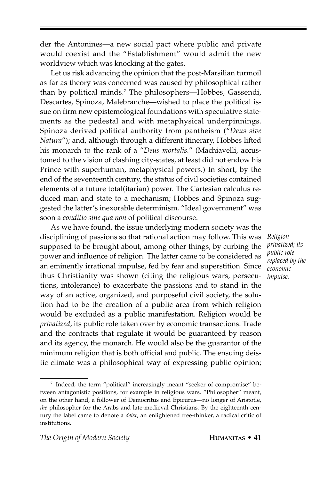der the Antonines—a new social pact where public and private would coexist and the "Establishment" would admit the new worldview which was knocking at the gates.

Let us risk advancing the opinion that the post-Marsilian turmoil as far as theory was concerned was caused by philosophical rather than by political minds.7 The philosophers—Hobbes, Gassendi, Descartes, Spinoza, Malebranche—wished to place the political issue on firm new epistemological foundations with speculative statements as the pedestal and with metaphysical underpinnings. Spinoza derived political authority from pantheism ("*Deus sive Natura*"); and, although through a different itinerary, Hobbes lifted his monarch to the rank of a "*Deus mortalis*." (Machiavelli, accustomed to the vision of clashing city-states, at least did not endow his Prince with superhuman, metaphysical powers.) In short, by the end of the seventeenth century, the status of civil societies contained elements of a future total(itarian) power. The Cartesian calculus reduced man and state to a mechanism; Hobbes and Spinoza suggested the latter's inexorable determinism. "Ideal government" was soon a *conditio sine qua non* of political discourse.

As we have found, the issue underlying modern society was the disciplining of passions so that rational action may follow. This was supposed to be brought about, among other things, by curbing the power and influence of religion. The latter came to be considered as an eminently irrational impulse, fed by fear and superstition. Since thus Christianity was shown (citing the religious wars, persecutions, intolerance) to exacerbate the passions and to stand in the way of an active, organized, and purposeful civil society, the solution had to be the creation of a public area from which religion would be excluded as a public manifestation. Religion would be *privatized*, its public role taken over by economic transactions. Trade and the contracts that regulate it would be guaranteed by reason and its agency, the monarch. He would also be the guarantor of the minimum religion that is both official and public. The ensuing deistic climate was a philosophical way of expressing public opinion;

*Religion privatized; its public role replaced by the economic impulse.*

<sup>7</sup> Indeed, the term "political" increasingly meant "seeker of compromise" between antagonistic positions, for example in religious wars. "Philosopher" meant, on the other hand, a follower of Democritus and Epicurus—no longer of Aristotle, *the* philosopher for the Arabs and late-medieval Christians. By the eighteenth century the label came to denote a *deist*, an enlightened free-thinker, a radical critic of institutions.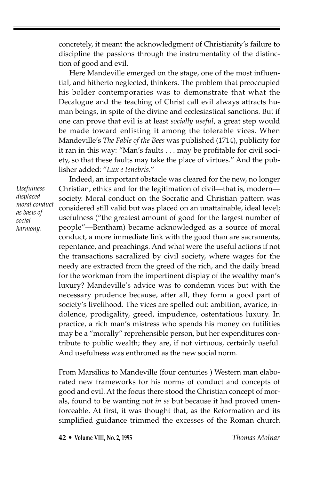concretely, it meant the acknowledgment of Christianity's failure to discipline the passions through the instrumentality of the distinction of good and evil.

Here Mandeville emerged on the stage, one of the most influential, and hitherto neglected, thinkers. The problem that preoccupied his bolder contemporaries was to demonstrate that what the Decalogue and the teaching of Christ call evil always attracts human beings, in spite of the divine and ecclesiastical sanctions. But if one can prove that evil is at least *socially useful*, a great step would be made toward enlisting it among the tolerable vices. When Mandeville's *The Fable of the Bees* was published (1714), publicity for it ran in this way: "Man's faults . . . may be profitable for civil society, so that these faults may take the place of virtues." And the publisher added: "*Lux e tenebris*."

*Usefulness displaced moral conduct as basis of social harmony.*

Indeed, an important obstacle was cleared for the new, no longer Christian, ethics and for the legitimation of civil—that is, modern society. Moral conduct on the Socratic and Christian pattern was considered still valid but was placed on an unattainable, ideal level; usefulness ("the greatest amount of good for the largest number of people"—Bentham) became acknowledged as a source of moral conduct, a more immediate link with the good than are sacraments, repentance, and preachings. And what were the useful actions if not the transactions sacralized by civil society, where wages for the needy are extracted from the greed of the rich, and the daily bread for the workman from the impertinent display of the wealthy man's luxury? Mandeville's advice was to condemn vices but with the necessary prudence because, after all, they form a good part of society's livelihood. The vices are spelled out: ambition, avarice, indolence, prodigality, greed, impudence, ostentatious luxury. In practice, a rich man's mistress who spends his money on futilities may be a "morally" reprehensible person, but her expenditures contribute to public wealth; they are, if not virtuous, certainly useful. And usefulness was enthroned as the new social norm.

From Marsilius to Mandeville (four centuries ) Western man elaborated new frameworks for his norms of conduct and concepts of good and evil. At the focus there stood the Christian concept of morals, found to be wanting not *in se* but because it had proved unenforceable. At first, it was thought that, as the Reformation and its simplified guidance trimmed the excesses of the Roman church

**42 • Volume VIII, No. 2, 1995** *Thomas Molnar*